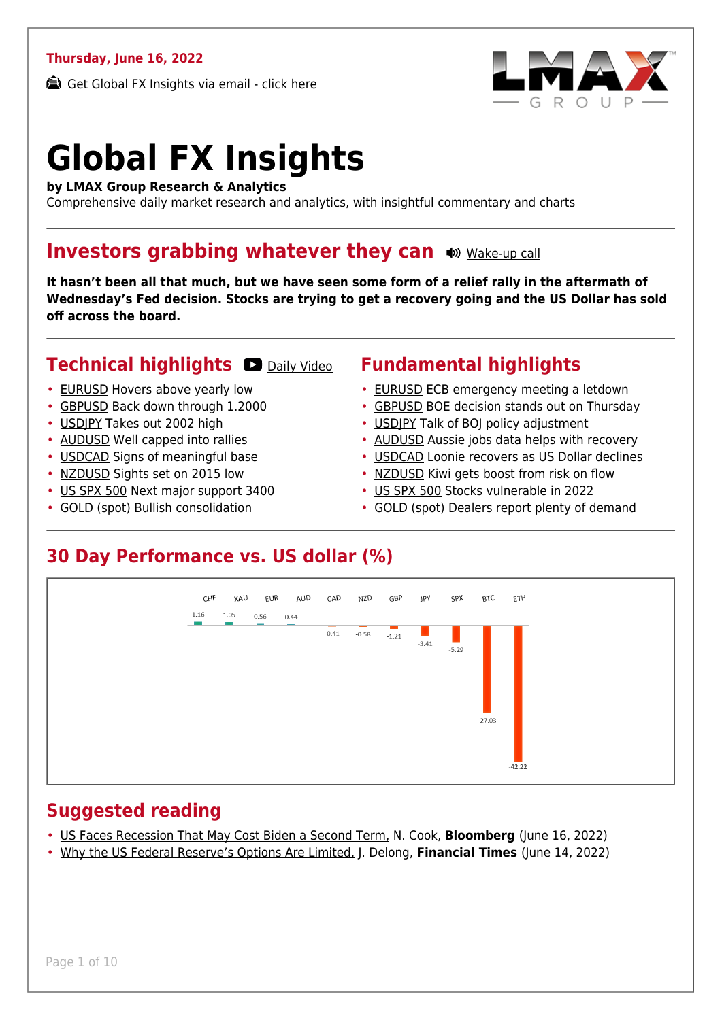#### **Thursday, June 16, 2022**

Get Global FX Insights via email - [click here](https://www.lmax.com/blog/global-fx-insights/sign-up/?src=gfxipdf)



# **Global FX Insights**

**by LMAX Group Research & Analytics**

Comprehensive daily market research and analytics, with insightful commentary and charts

#### **Investors grabbing whatever they can**  $\bullet$  [Wake-up call](https://www.lmax.com/blog/global-fx-insights/2022/06/16/investors-grabbing-whatever-they-can/?utm_source=GlobalFXInsights-Newsletter&utm_medium=Email&utm_campaign=GlobalFXInsights&audio=play#wakeup-53902)

**It hasn't been all that much, but we have seen some form of a relief rally in the aftermath of Wednesday's Fed decision. Stocks are trying to get a recovery going and the US Dollar has sold off across the board.**

#### **Technical highlights C** [Daily Video](https://www.lmax.com/blog/global-fx-insights/2022/06/16/investors-grabbing-whatever-they-can/?utm_source=GlobalFXInsights-Newsletter&utm_medium=Email&utm_campaign=GlobalFXInsights&popup=watch#charttalk-53902)

- [EURUSD](#page-1-0) Hovers above yearly low
- [GBPUSD](#page-2-0) Back down through 1.2000
- [USDJPY](#page-3-0) Takes out 2002 high
- [AUDUSD](#page-4-0) Well capped into rallies
- [USDCAD](#page-5-0) Signs of meaningful base
- [NZDUSD](#page-6-0) Sights set on 2015 low
- [US SPX 500](#page-7-0) Next major support 3400
- [GOLD](#page-8-0) (spot) Bullish consolidation

#### **Fundamental highlights**

- [EURUSD](#page-1-1) ECB emergency meeting a letdown
- [GBPUSD](#page-2-1) BOE decision stands out on Thursday
- USDIPY Talk of BOJ policy adjustment
- [AUDUSD](#page-4-1) Aussie jobs data helps with recovery
- [USDCAD](#page-5-1) Loonie recovers as US Dollar declines
- [NZDUSD](#page-6-1) Kiwi gets boost from risk on flow
- [US SPX 500](#page-7-1) Stocks vulnerable in 2022
- [GOLD](#page-8-1) (spot) Dealers report plenty of demand

#### **30 Day Performance vs. US dollar (%)**



#### **Suggested reading**

- [US Faces Recession That May Cost Biden a Second Term,](https://www.lmax.com/blog/global-fx-insights/2022/06/16/investors-grabbing-whatever-they-can/?read=https://www.bloomberg.com/news/articles/2022-06-15/us-recession-risk-hits-72-by-2024-as-fed-hikes-rates-to-curb-inflation?srnd=markets-vp#xj4y7vzkg) N. Cook, **Bloomberg** (June 16, 2022)
- [Why the US Federal Reserve's Options Are Limited,](https://www.lmax.com/blog/global-fx-insights/2022/06/16/investors-grabbing-whatever-they-can/?read=https://www.project-syndicate.org/commentary/federal-reserve-rate-hikes-limited-by-forward-guidance-by-j-bradford-delong-2022-06) J. Delong, **Financial Times** (June 14, 2022)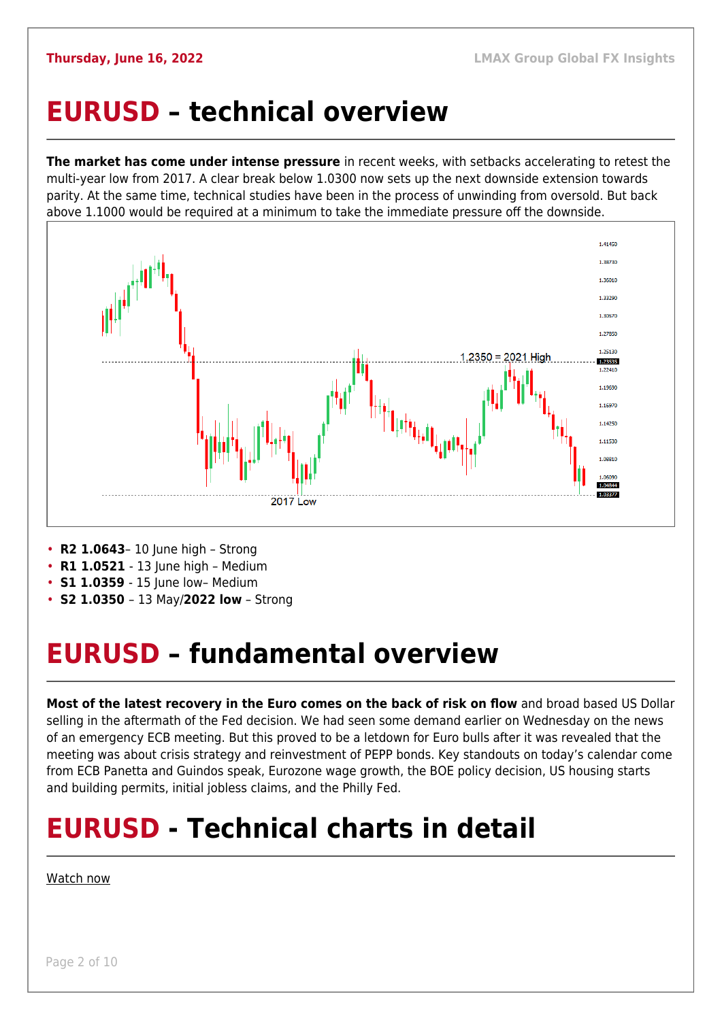### <span id="page-1-0"></span>**EURUSD – technical overview**

**The market has come under intense pressure** in recent weeks, with setbacks accelerating to retest the multi-year low from 2017. A clear break below 1.0300 now sets up the next downside extension towards parity. At the same time, technical studies have been in the process of unwinding from oversold. But back above 1.1000 would be required at a minimum to take the immediate pressure off the downside.



- **R2 1.0643** 10 June high Strong
- **R1 1.0521**  13 June high Medium
- **S1 1.0359** 15 June low- Medium
- **S2 1.0350**  13 May/**2022 low** Strong

## <span id="page-1-1"></span>**EURUSD – fundamental overview**

**Most of the latest recovery in the Euro comes on the back of risk on flow** and broad based US Dollar selling in the aftermath of the Fed decision. We had seen some demand earlier on Wednesday on the news of an emergency ECB meeting. But this proved to be a letdown for Euro bulls after it was revealed that the meeting was about crisis strategy and reinvestment of PEPP bonds. Key standouts on today's calendar come from ECB Panetta and Guindos speak, Eurozone wage growth, the BOE policy decision, US housing starts and building permits, initial jobless claims, and the Philly Fed.

## **EURUSD - Technical charts in detail**

#### [Watch now](https://youtu.be/1s_gNAwnbnA)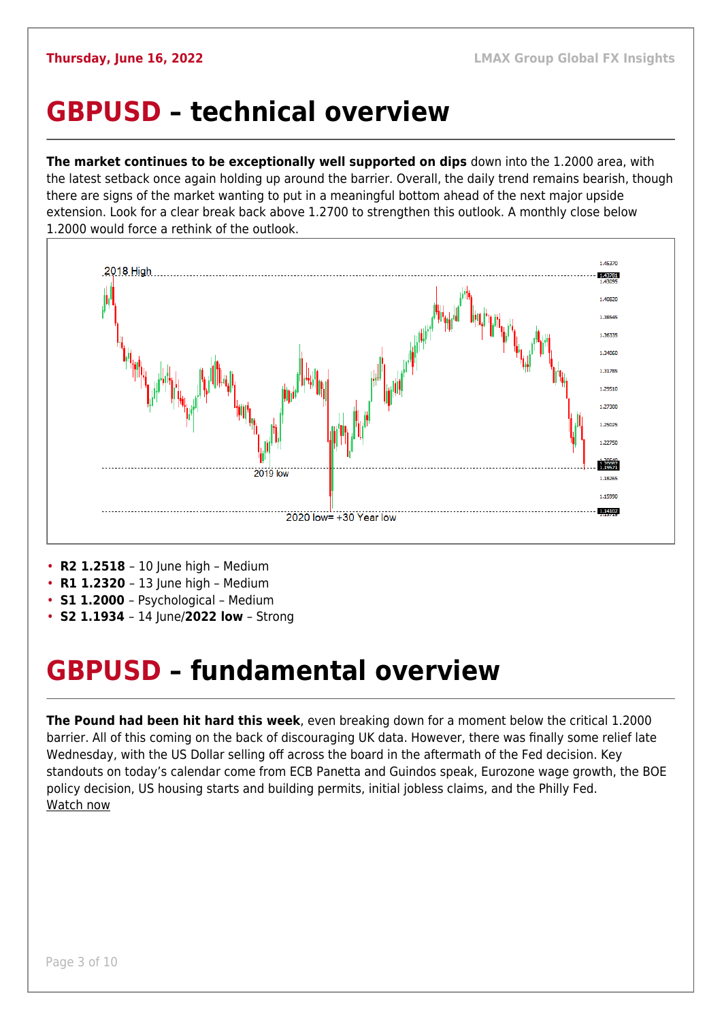#### <span id="page-2-0"></span>**GBPUSD – technical overview**

**The market continues to be exceptionally well supported on dips** down into the 1.2000 area, with the latest setback once again holding up around the barrier. Overall, the daily trend remains bearish, though there are signs of the market wanting to put in a meaningful bottom ahead of the next major upside extension. Look for a clear break back above 1.2700 to strengthen this outlook. A monthly close below 1.2000 would force a rethink of the outlook.



- **R2 1.2518** 10 June high Medium
- **R1 1.2320**  13 June high Medium
- **S1 1.2000**  Psychological Medium
- **S2 1.1934**  14 June/**2022 low** Strong

### <span id="page-2-1"></span>**GBPUSD – fundamental overview**

**The Pound had been hit hard this week**, even breaking down for a moment below the critical 1.2000 barrier. All of this coming on the back of discouraging UK data. However, there was finally some relief late Wednesday, with the US Dollar selling off across the board in the aftermath of the Fed decision. Key standouts on today's calendar come from ECB Panetta and Guindos speak, Eurozone wage growth, the BOE policy decision, US housing starts and building permits, initial jobless claims, and the Philly Fed. [Watch now](https://youtu.be/GxHVYmz0ISI)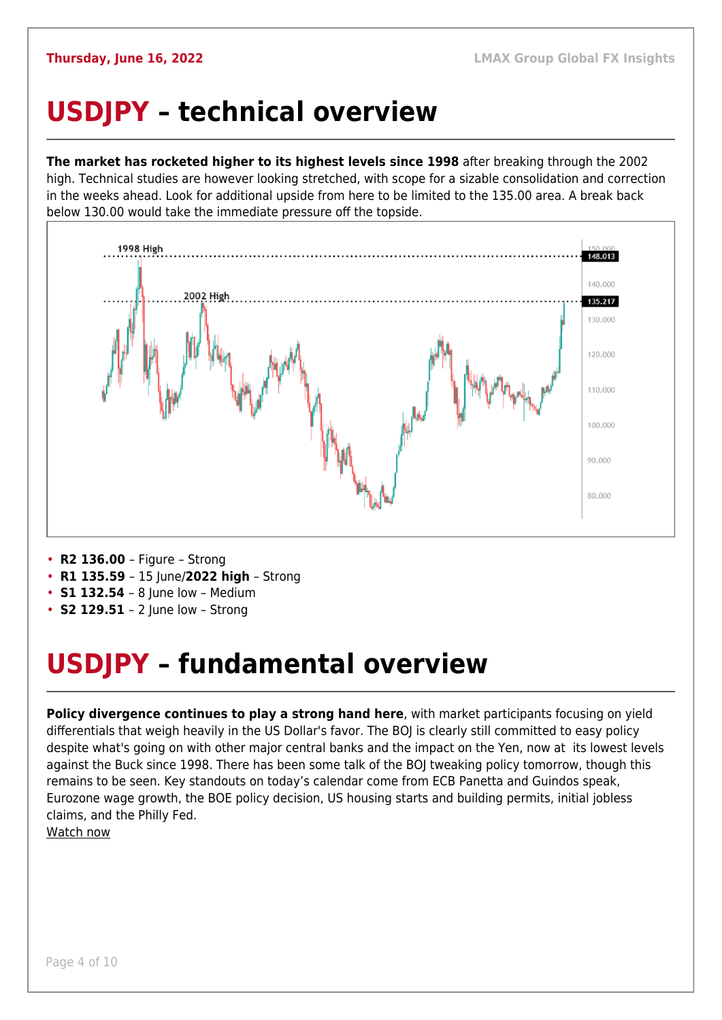## <span id="page-3-0"></span>**USDJPY – technical overview**

**The market has rocketed higher to its highest levels since 1998** after breaking through the 2002 high. Technical studies are however looking stretched, with scope for a sizable consolidation and correction in the weeks ahead. Look for additional upside from here to be limited to the 135.00 area. A break back below 130.00 would take the immediate pressure off the topside.



- **R2 136.00**  Figure Strong
- **R1 135.59**  15 June/**2022 high** Strong
- **S1 132.54**  8 June low Medium
- **S2 129.51**  2 June low Strong

## <span id="page-3-1"></span>**USDJPY – fundamental overview**

**Policy divergence continues to play a strong hand here**, with market participants focusing on yield differentials that weigh heavily in the US Dollar's favor. The BOJ is clearly still committed to easy policy despite what's going on with other major central banks and the impact on the Yen, now at its lowest levels against the Buck since 1998. There has been some talk of the BOJ tweaking policy tomorrow, though this remains to be seen. Key standouts on today's calendar come from ECB Panetta and Guindos speak, Eurozone wage growth, the BOE policy decision, US housing starts and building permits, initial jobless claims, and the Philly Fed.

[Watch now](https://youtu.be/5iw8z8kH8EU)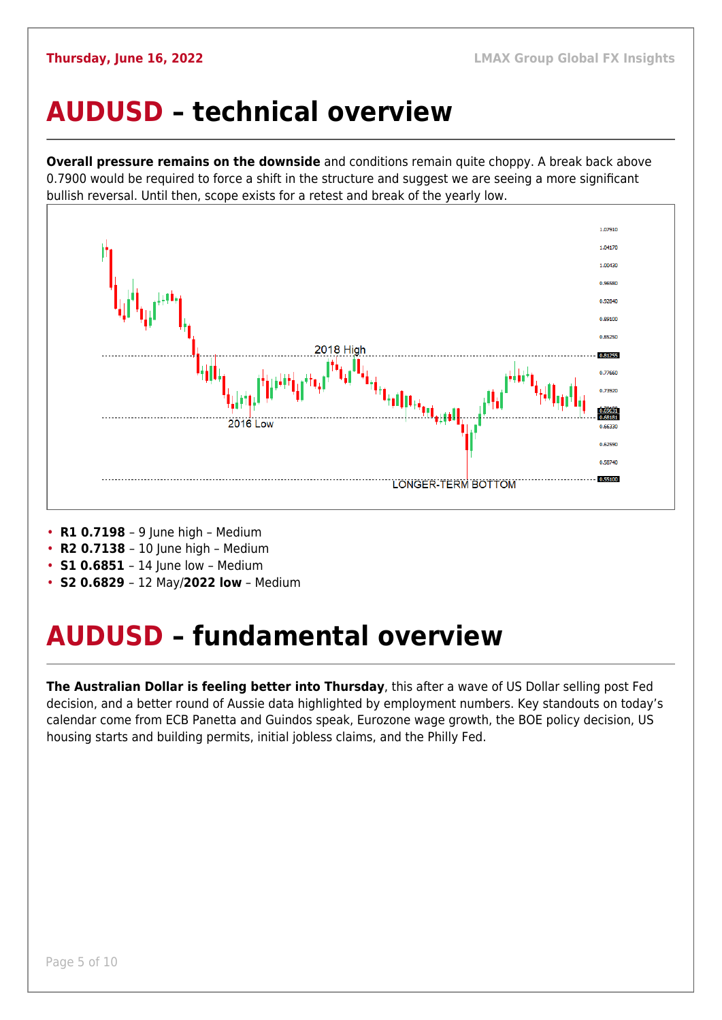### <span id="page-4-0"></span>**AUDUSD – technical overview**

**Overall pressure remains on the downside** and conditions remain quite choppy. A break back above 0.7900 would be required to force a shift in the structure and suggest we are seeing a more significant bullish reversal. Until then, scope exists for a retest and break of the yearly low.



- **R1 0.7198**  9 June high Medium
- **R2 0.7138**  10 June high Medium
- **S1 0.6851** 14 June low Medium
- **S2 0.6829**  12 May/**2022 low** Medium

## <span id="page-4-1"></span>**AUDUSD – fundamental overview**

**The Australian Dollar is feeling better into Thursday**, this after a wave of US Dollar selling post Fed decision, and a better round of Aussie data highlighted by employment numbers. Key standouts on today's calendar come from ECB Panetta and Guindos speak, Eurozone wage growth, the BOE policy decision, US housing starts and building permits, initial jobless claims, and the Philly Fed.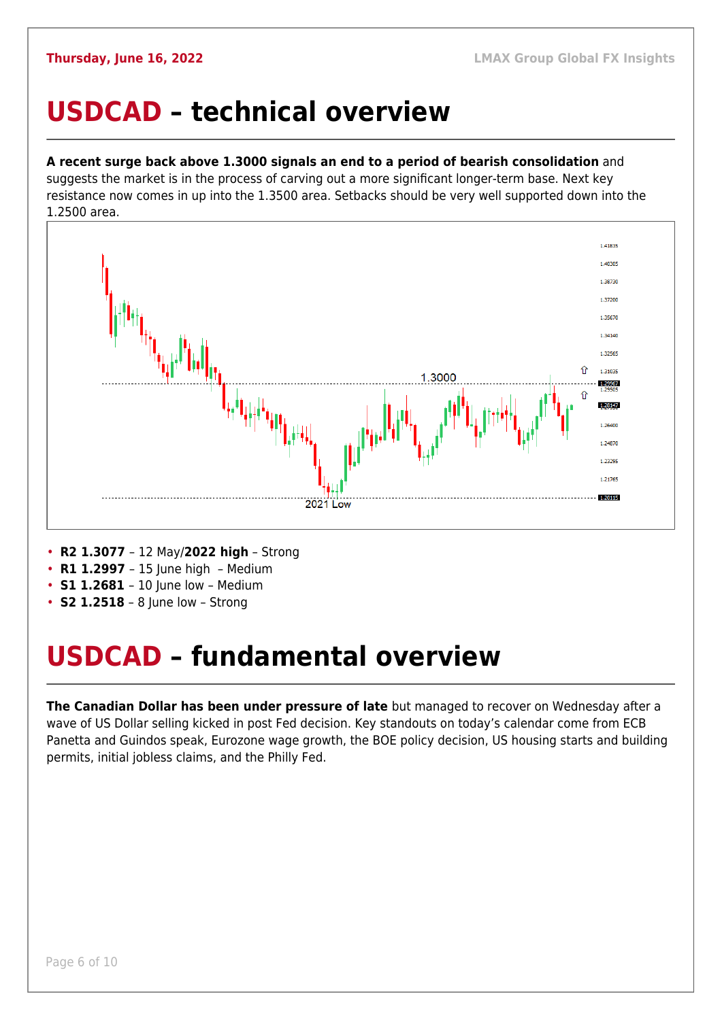#### <span id="page-5-0"></span>**USDCAD – technical overview**

#### **A recent surge back above 1.3000 signals an end to a period of bearish consolidation** and

suggests the market is in the process of carving out a more significant longer-term base. Next key resistance now comes in up into the 1.3500 area. Setbacks should be very well supported down into the 1.2500 area.



- **R2 1.3077**  12 May/**2022 high** Strong
- **R1 1.2997**  15 June high Medium
- **S1 1.2681**  10 June low Medium
- **S2 1.2518** 8 June low Strong

### <span id="page-5-1"></span>**USDCAD – fundamental overview**

**The Canadian Dollar has been under pressure of late** but managed to recover on Wednesday after a wave of US Dollar selling kicked in post Fed decision. Key standouts on today's calendar come from ECB Panetta and Guindos speak, Eurozone wage growth, the BOE policy decision, US housing starts and building permits, initial jobless claims, and the Philly Fed.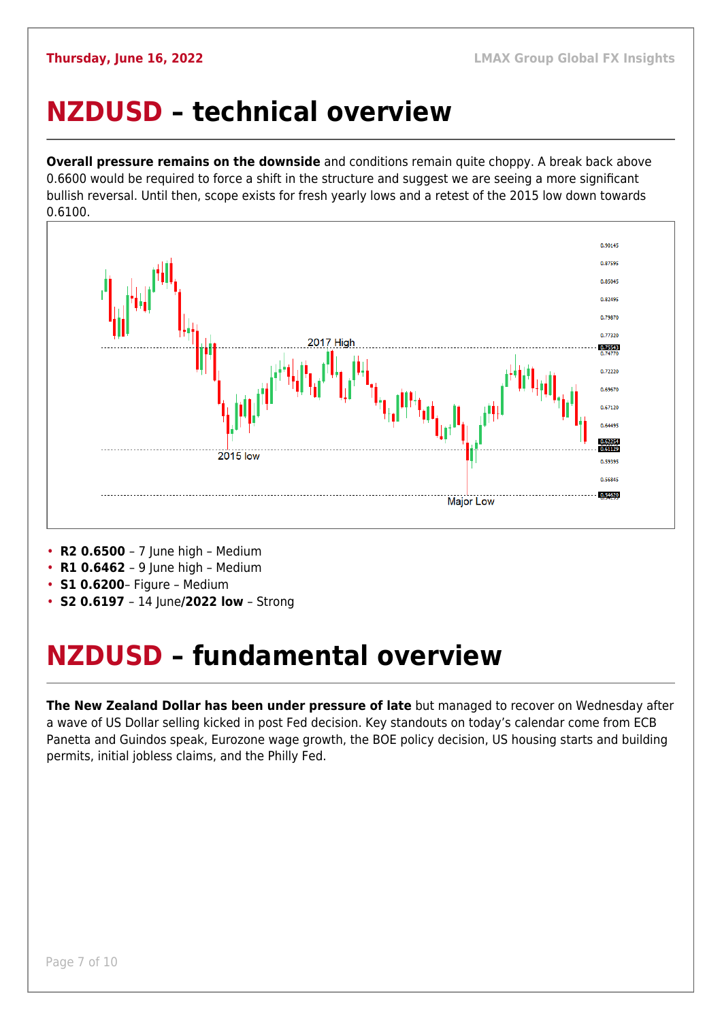### <span id="page-6-0"></span>**NZDUSD – technical overview**

**Overall pressure remains on the downside** and conditions remain quite choppy. A break back above 0.6600 would be required to force a shift in the structure and suggest we are seeing a more significant bullish reversal. Until then, scope exists for fresh yearly lows and a retest of the 2015 low down towards 0.6100.



• **R2 0.6500** – 7 June high – Medium

- **R1 0.6462**  9 June high Medium
- **S1 0.6200** Figure Medium
- **S2 0.6197**  14 June**/2022 low** Strong

## <span id="page-6-1"></span>**NZDUSD – fundamental overview**

**The New Zealand Dollar has been under pressure of late** but managed to recover on Wednesday after a wave of US Dollar selling kicked in post Fed decision. Key standouts on today's calendar come from ECB Panetta and Guindos speak, Eurozone wage growth, the BOE policy decision, US housing starts and building permits, initial jobless claims, and the Philly Fed.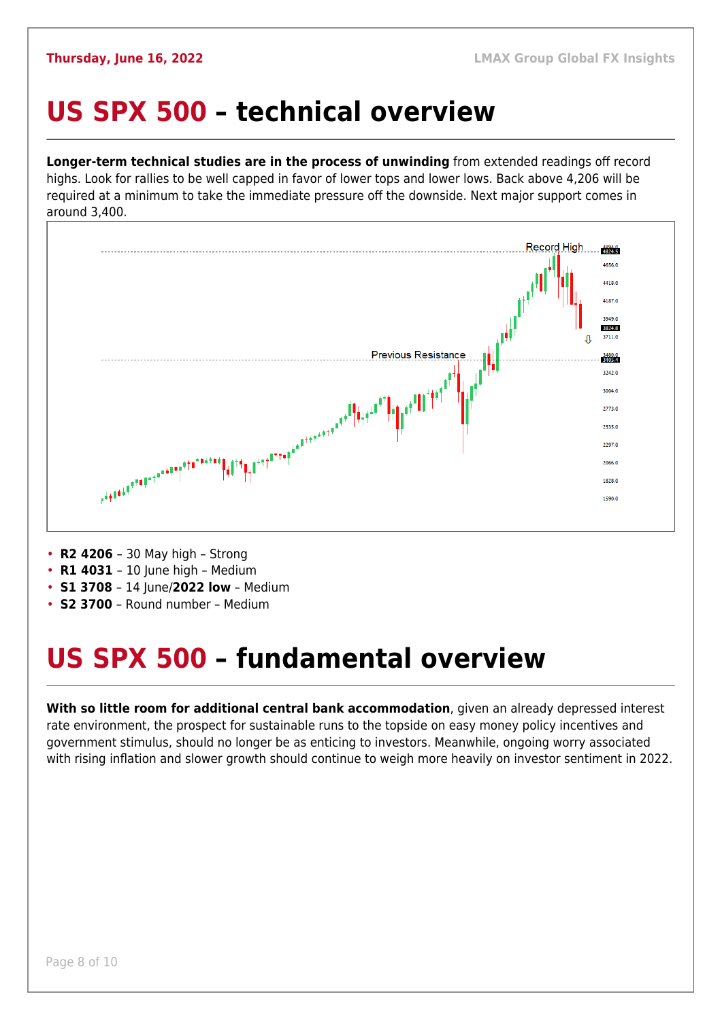#### <span id="page-7-0"></span>**US SPX 500 – technical overview**

**Longer-term technical studies are in the process of unwinding** from extended readings off record highs. Look for rallies to be well capped in favor of lower tops and lower lows. Back above 4,206 will be required at a minimum to take the immediate pressure off the downside. Next major support comes in around 3,400.

![](_page_7_Figure_4.jpeg)

- **R2 4206**  30 May high Strong
- **R1 4031**  10 June high Medium
- **S1 3708**  14 June/**2022 low** Medium
- **S2 3700**  Round number Medium

## <span id="page-7-1"></span>**US SPX 500 – fundamental overview**

**With so little room for additional central bank accommodation**, given an already depressed interest rate environment, the prospect for sustainable runs to the topside on easy money policy incentives and government stimulus, should no longer be as enticing to investors. Meanwhile, ongoing worry associated with rising inflation and slower growth should continue to weigh more heavily on investor sentiment in 2022.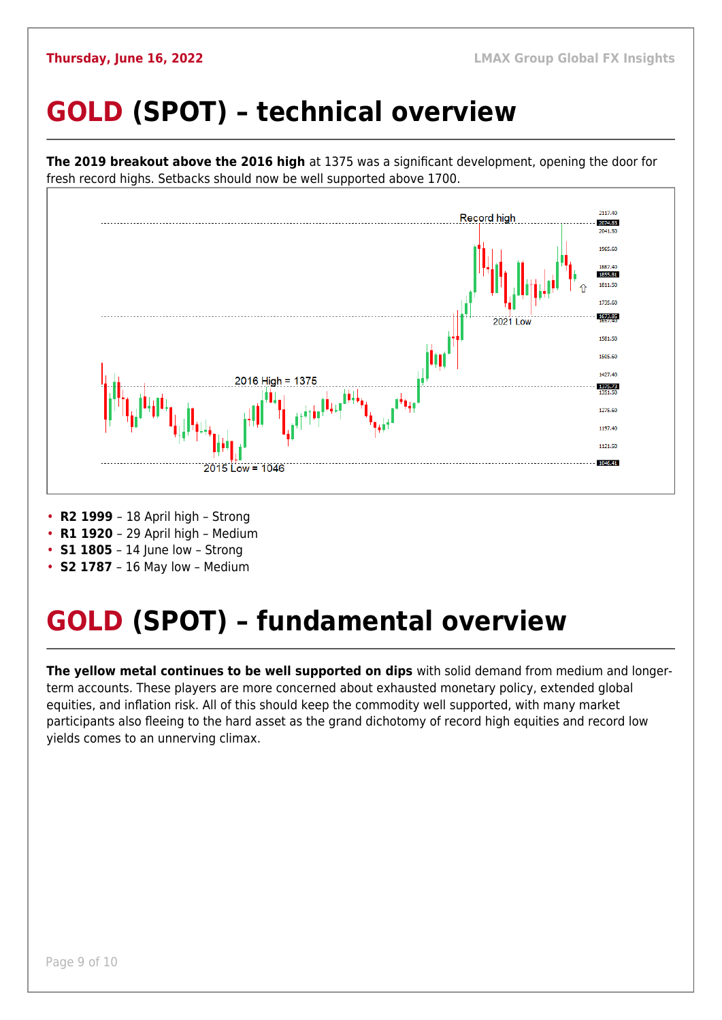## <span id="page-8-0"></span>**GOLD (SPOT) – technical overview**

![](_page_8_Figure_3.jpeg)

• **S2 1787** – 16 May low – Medium

## <span id="page-8-1"></span>**GOLD (SPOT) – fundamental overview**

**The yellow metal continues to be well supported on dips** with solid demand from medium and longerterm accounts. These players are more concerned about exhausted monetary policy, extended global equities, and inflation risk. All of this should keep the commodity well supported, with many market participants also fleeing to the hard asset as the grand dichotomy of record high equities and record low yields comes to an unnerving climax.